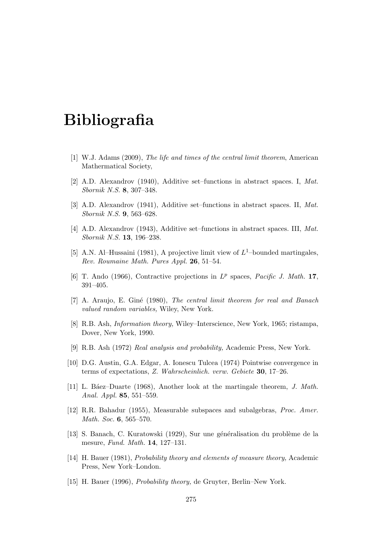## Bibliografia

- [1] W.J. Adams (2009), The life and times of the central limit theorem, American Mathermatical Society,
- [2] A.D. Alexandrov (1940), Additive set–functions in abstract spaces. I, Mat. Sbornik N.S. 8, 307–348.
- [3] A.D. Alexandrov (1941), Additive set–functions in abstract spaces. II, Mat. Sbornik N.S. 9, 563–628.
- [4] A.D. Alexandrov (1943), Additive set–functions in abstract spaces. III, Mat. Sbornik N.S. 13, 196–238.
- [5] A.N. Al–Hussaini (1981), A projective limit view of  $L^1$ –bounded martingales, Rev. Roumaine Math. Pures Appl. 26, 51–54.
- [6] T. Ando (1966), Contractive projections in  $L^p$  spaces, Pacific J. Math. 17, 391–405.
- [7] A. Araujo, E. Giné (1980), The central limit theorem for real and Banach valued random variables, Wiley, New York.
- [8] R.B. Ash, Information theory, Wiley–Interscience, New York, 1965; ristampa, Dover, New York, 1990.
- [9] R.B. Ash (1972) Real analysis and probability, Academic Press, New York.
- [10] D.G. Austin, G.A. Edgar, A. Ionescu Tulcea (1974) Pointwise convergence in terms of expectations, Z. Wahrscheinlich. verw. Gebiete 30, 17–26.
- [11] L. B´aez–Duarte (1968), Another look at the martingale theorem, J. Math. Anal. Appl. 85, 551–559.
- [12] R.R. Bahadur (1955), Measurable subspaces and subalgebras, Proc. Amer. Math. Soc. 6, 565–570.
- [13] S. Banach, C. Kuratowski (1929), Sur une généralisation du problème de la mesure, Fund. Math. 14, 127–131.
- [14] H. Bauer (1981), Probability theory and elements of measure theory, Academic Press, New York–London.
- [15] H. Bauer (1996), Probability theory, de Gruyter, Berlin–New York.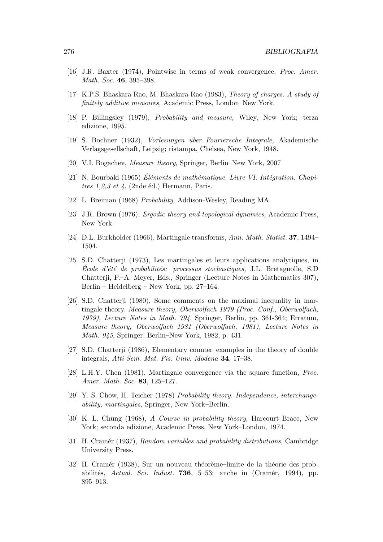- [16] J.R. Baxter (1974), Pointwise in terms of weak convergence, Proc. Amer. Math. Soc. 46, 395–398.
- [17] K.P.S. Bhaskara Rao, M. Bhaskara Rao (1983), Theory of charges. A study of finitely additive measures, Academic Press, London–New York.
- [18] P. Billingsley (1979), Probability and measure, Wiley, New York; terza edizione, 1995.
- [19] S. Bochner (1932), Vorlesungen über Fouriersche Integrale, Akademische Verlagsgesellschaft, Leipzig; ristampa, Chelsea, New York, 1948.
- [20] V.I. Bogachev, Measure theory, Springer, Berlin–New York, 2007
- $[21]$  N. Bourbaki (1965) Eléments de mathématique. Livre VI: Intégration. Chapitres 1,2,3 et 4, (2nde éd.) Hermann, Paris.
- [22] L. Breiman (1968) Probability, Addison-Wesley, Reading MA.
- [23] J.R. Brown (1976), Ergodic theory and topological dynamics, Academic Press, New York.
- [24] D.L. Burkholder (1966), Martingale transforms, Ann. Math. Statist. 37, 1494– 1504.
- [25] S.D. Chatterji (1973), Les martingales et leurs applications analytiques, in Ecole d'été de probabilités: processus stochastiques, J.L. Bretagnolle, S.D. Chatterji, P.–A. Meyer, Eds., Springer (Lecture Notes in Mathematics 307), Berlin – Heidelberg – New York, pp. 27–164.
- [26] S.D. Chatterji (1980), Some comments on the maximal inequality in martingale theory. Measure theory, Oberwolfach 1979 (Proc. Conf., Oberwolfach, 1979), Lecture Notes in Math. 794, Springer, Berlin, pp. 361-364; Erratum, Measure theory, Oberwolfach 1981 (Oberwolfach, 1981), Lecture Notes in Math. 945, Springer, Berlin–New York, 1982, p. 431.
- [27] S.D. Chatterji (1986), Elementary counter–examples in the theory of double integrals, Atti Sem. Mat. Fis. Univ. Modena 34, 17–38.
- [28] L.H.Y. Chen (1981), Martingale convergence via the square function, Proc. Amer. Math. Soc. 83, 125–127.
- [29] Y. S. Chow, H. Teicher (1978) Probability theory. Independence, interchangeability, martingales, Springer, New York–Berlin.
- [30] K. L. Chung (1968), A Course in probability theory, Harcourt Brace, New York; seconda edizione, Academic Press, New York–London, 1974.
- [31] H. Cramér (1937), Random variables and probability distributions, Cambridge University Press.
- [32] H. Cramér (1938), Sur un nouveau théorème–limite de la théorie des probabilités, Actual. Sci. Indust. **736**, 5–53; anche in (Cramér, 1994), pp. 895–913.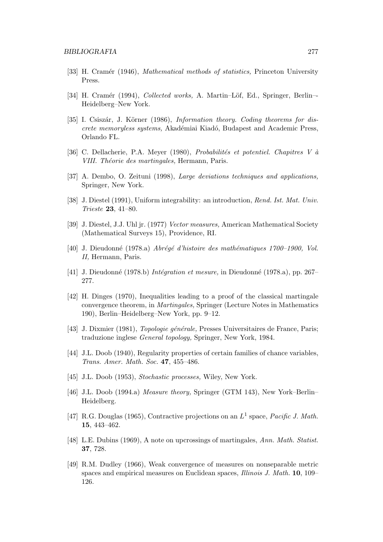- [33] H. Cramér (1946), *Mathematical methods of statistics*, Princeton University Press.
- [34] H. Cramér (1994), *Collected works*, A. Martin–Löf, Ed., Springer, Berlin–-Heidelberg–New York.
- [35] I. Csiszár, J. Körner (1986), *Information theory. Coding theorems for dis*crete memoryless systems, Akadémiai Kiadó, Budapest and Academic Press, Orlando FL.
- [36] C. Dellacherie, P.A. Meyer (1980), *Probabilités et potentiel. Chapitres* V à VIII. Théorie des martingales, Hermann, Paris.
- [37] A. Dembo, O. Zeituni (1998), Large deviations techniques and applications, Springer, New York.
- [38] J. Diestel (1991), Uniform integrability: an introduction, Rend. Ist. Mat. Univ. Trieste 23, 41–80.
- [39] J. Diestel, J.J. Uhl jr. (1977) Vector measures, American Mathematical Society (Mathematical Surveys 15), Providence, RI.
- [40] J. Dieudonné (1978.a) Abrégé d'histoire des mathématiques 1700–1900, Vol. II, Hermann, Paris.
- [41] J. Dieudonné (1978.b) Intégration et mesure, in Dieudonné (1978.a), pp. 267– 277.
- [42] H. Dinges (1970), Inequalities leading to a proof of the classical martingale convergence theorem, in Martingales, Springer (Lecture Notes in Mathematics 190), Berlin–Heidelberg–New York, pp. 9–12.
- [43] J. Dixmier (1981), *Topologie générale*, Presses Universitaires de France, Paris; traduzione inglese General topology, Springer, New York, 1984.
- [44] J.L. Doob (1940), Regularity properties of certain families of chance variables, Trans. Amer. Math. Soc. 47, 455–486.
- [45] J.L. Doob (1953), *Stochastic processes*, Wiley, New York.
- [46] J.L. Doob (1994.a) Measure theory, Springer (GTM 143), New York–Berlin– Heidelberg.
- [47] R.G. Douglas (1965), Contractive projections on an  $L^1$  space, Pacific J. Math. 15, 443–462.
- [48] L.E. Dubins (1969), A note on upcrossings of martingales, Ann. Math. Statist. 37, 728.
- [49] R.M. Dudley (1966), Weak convergence of measures on nonseparable metric spaces and empirical measures on Euclidean spaces, *Illinois J. Math.* **10**, 109– 126.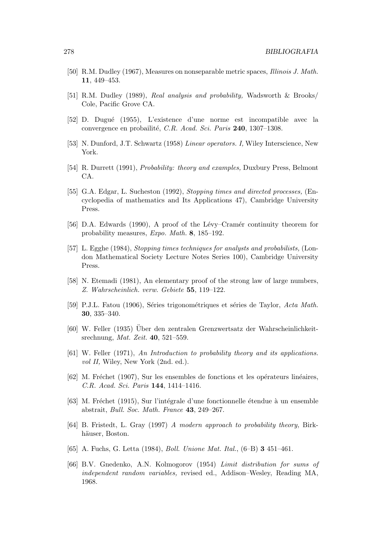- [50] R.M. Dudley (1967), Measures on nonseparable metric spaces, Illinois J. Math. 11, 449–453.
- [51] R.M. Dudley (1989), Real analysis and probability, Wadsworth & Brooks/ Cole, Pacific Grove CA.
- [52] D. Dugu´e (1955), L'existence d'une norme est incompatible avec la convergence en probailité, C.R. Acad. Sci. Paris 240, 1307–1308.
- [53] N. Dunford, J.T. Schwartz (1958) Linear operators. I, Wiley Interscience, New York.
- [54] R. Durrett (1991), Probability: theory and examples, Duxbury Press, Belmont CA.
- [55] G.A. Edgar, L. Sucheston (1992), Stopping times and directed processes, (Encyclopedia of mathematics and Its Applications 47), Cambridge University Press.
- [56] D.A. Edwards (1990), A proof of the Lévy–Cramér continuity theorem for probability measures, Expo. Math. 8, 185–192.
- [57] L. Egghe (1984), Stopping times techniques for analysts and probabilists, (London Mathematical Society Lecture Notes Series 100), Cambridge University Press.
- [58] N. Etemadi (1981), An elementary proof of the strong law of large numbers, Z. Wahrscheinlich. verw. Gebiete 55, 119–122.
- [59] P.J.L. Fatou (1906), Séries trigonométriques et séries de Taylor, Acta Math. 30, 335–340.
- [60] W. Feller (1935) Uber den zentralen Grenzwertsatz der Wahrscheinlichkeit- ¨ srechnung, Mat. Zeit. 40, 521–559.
- [61] W. Feller (1971), An Introduction to probability theory and its applications. vol II, Wiley, New York (2nd. ed.).
- $[62]$  M. Fréchet (1907), Sur les ensembles de fonctions et les opérateurs linéaires, C.R. Acad. Sci. Paris 144, 1414–1416.
- [63] M. Fréchet (1915), Sur l'intégrale d'une fonctionnelle étendue à un ensemble abstrait, Bull. Soc. Math. France 43, 249–267.
- [64] B. Fristedt, L. Gray (1997) A modern approach to probability theory, Birkhäuser. Boston.
- [65] A. Fuchs, G. Letta (1984), Boll. Unione Mat. Ital., (6–B) 3 451–461.
- [66] B.V. Gnedenko, A.N. Kolmogorov (1954) Limit distribution for sums of independent random variables, revised ed., Addison–Wesley, Reading MA, 1968.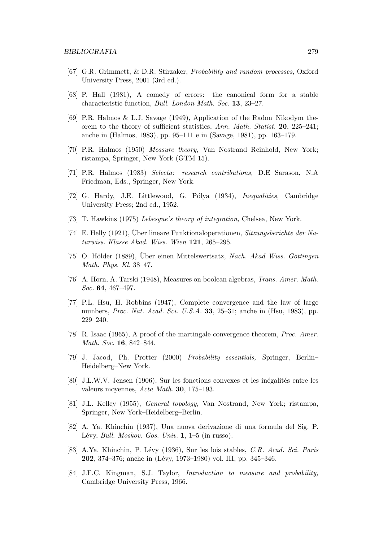- [67] G.R. Grimmett, & D.R. Stirzaker, Probability and random processes, Oxford University Press, 2001 (3rd ed.).
- [68] P. Hall (1981), A comedy of errors: the canonical form for a stable characteristic function, Bull. London Math. Soc. 13, 23–27.
- [69] P.R. Halmos & L.J. Savage (1949), Application of the Radon–Nikodym theorem to the theory of sufficient statistics, Ann. Math. Statist. 20, 225–241; anche in (Halmos, 1983), pp. 95–111 e in (Savage, 1981), pp. 163–179.
- [70] P.R. Halmos (1950) Measure theory, Van Nostrand Reinhold, New York; ristampa, Springer, New York (GTM 15).
- [71] P.R. Halmos (1983) Selecta: research contributions, D.E Sarason, N.A Friedman, Eds., Springer, New York.
- [72] G. Hardy, J.E. Littlewood, G. Pólya (1934), *Inequalities*, Cambridge University Press; 2nd ed., 1952.
- [73] T. Hawkins (1975) Lebesgue's theory of integration, Chelsea, New York.
- [74] E. Helly (1921), Über lineare Funktional operationen, *Sitzungsberichte der Na*turwiss. Klasse Akad. Wiss. Wien 121, 265–295.
- [75] O. Hölder (1889), Uber einen Mittelswertsatz, Nach. Akad Wiss. Göttingen Math. Phys. Kl. 38–47.
- [76] A. Horn, A. Tarski (1948), Measures on boolean algebras, Trans. Amer. Math. Soc. **64**, 467-497.
- [77] P.L. Hsu, H. Robbins (1947), Complete convergence and the law of large numbers, *Proc. Nat. Acad. Sci. U.S.A.* **33**, 25–31; anche in (Hsu, 1983), pp. 229–240.
- [78] R. Isaac (1965), A proof of the martingale convergence theorem, Proc. Amer. Math. Soc. 16, 842–844.
- [79] J. Jacod, Ph. Protter (2000) Probability essentials, Springer, Berlin– Heidelberg–New York.
- [80] J.L.W.V. Jensen (1906), Sur les fonctions convexes et les inégalités entre les valeurs moyennes, Acta Math. 30, 175–193.
- [81] J.L. Kelley (1955), General topology, Van Nostrand, New York; ristampa, Springer, New York–Heidelberg–Berlin.
- [82] A. Ya. Khinchin (1937), Una nuova derivazione di una formula del Sig. P. Lévy, Bull. Moskov. Gos. Univ.  $1, 1-5$  (in russo).
- [83] A.Ya. Khinchin, P. Lévy (1936), Sur les lois stables, C.R. Acad. Sci. Paris **202**, 374–376; anche in (Lévy, 1973–1980) vol. III, pp. 345–346.
- [84] J.F.C. Kingman, S.J. Taylor, Introduction to measure and probability, Cambridge University Press, 1966.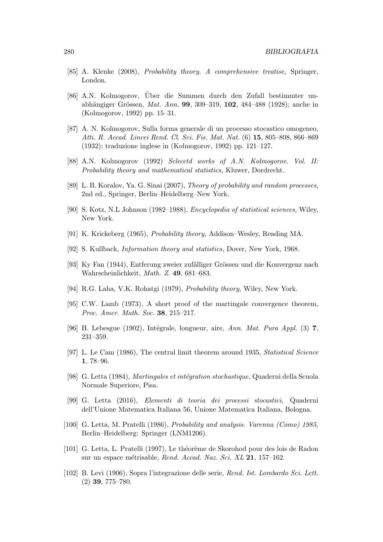- [85] A. Klenke (2008), Probability theory. A comprehensive treatise, Springer, London.
- [86] A.N. Kolmogorov, Über die Summen durch den Zufall bestimmter unabhängiger Grössen, *Mat. Ann.* **99**, 309–319, **102**, 484–488 (1928); anche in (Kolmogorov, 1992) pp. 15–31.
- [87] A. N. Kolmogorov, Sulla forma generale di un processo stocastico omogeneo, Atti. R. Accad. Lincei Rend. Cl. Sci. Fis. Mat. Nat. (6) 15, 805–808, 866–869 (1932); traduzione inglese in (Kolmogorov, 1992) pp. 121–127.
- [88] A.N. Kolmogorov (1992) Selecetd works of A.N. Kolmogorov. Vol. II: Probability theory and mathematical statistics, Kluwer, Dordrecht.
- [89] L. B. Koralov, Ya. G. Sinai (2007), Theory of probability and random processes, 2nd ed., Springer, Berlin–Heidelberg–New York.
- [90] S. Kotz, N.L Johnson (1982–1988), Encyclopedia of statistical sciences, Wiley, New York.
- [91] K. Krickeberg (1965), Probability theory, Addison–Wesley, Reading MA.
- [92] S. Kullback, Information theory and statistics, Dover, New York, 1968.
- [93] Ky Fan (1944), Entferung zweier zufälliger Grössen und die Konvergenz nach Wahrscheinlichkeit, Math. Z. 49, 681–683.
- [94] R.G. Laha, V.K. Rohatgi (1979), Probability theory, Wiley, New York.
- [95] C.W. Lamb (1973), A short proof of the martingale convergence theorem, Proc. Amer. Math. Soc. 38, 215–217.
- [96] H. Lebesgue  $(1902)$ , Intégrale, longueur, aire, Ann. Mat. Pura Appl. (3) 7, 231–359.
- [97] L. Le Cam (1986), The central limit theorem around 1935, Statistical Science 1, 78–96.
- [98] G. Letta (1984), *Martingales et intégration stochastique*, Quaderni della Scuola Normale Superiore, Pisa.
- [99] G. Letta (2016), Elementi di teoria dei processi stocastici, Quaderni dell'Unione Matematica Italiana 56, Unione Matematica Italiana, Bologna.
- [100] G. Letta, M. Pratelli (1986), Probability and analysis. Varenna (Como) 1985, Berlin–Heidelberg: Springer (LNM1206).
- [101] G. Letta, L. Pratelli (1997), Le théorème de Skorohod pour des lois de Radon sur un espace métrisable, Rend. Accad. Naz. Sci. XL 21, 157–162.
- [102] B. Levi (1906), Sopra l'integrazione delle serie, Rend. Ist. Lombardo Sci. Lett. (2) 39, 775–780.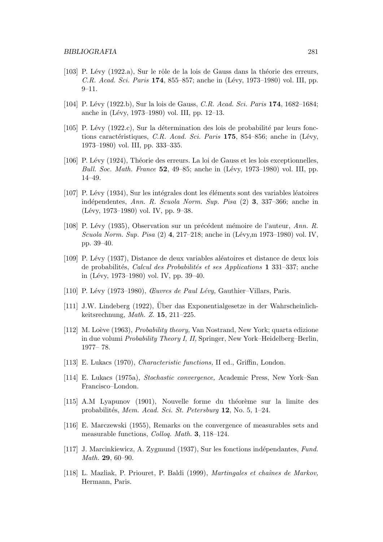- [103] P. Lévy (1922.a), Sur le rôle de la lois de Gauss dans la théorie des erreurs,  $C.R.$  Acad. Sci. Paris 174, 855–857; anche in (Lévy, 1973–1980) vol. III, pp. 9–11.
- [104] P. Lévy (1922.b), Sur la lois de Gauss, C.R. Acad. Sci. Paris 174, 1682–1684; anche in (Lévy, 1973–1980) vol. III, pp. 12–13.
- [105] P. Lévy (1922.c), Sur la détermination des lois de probabilité par leurs fonctions caractéristiques, C.R. Acad. Sci. Paris 175, 854–856; anche in (Lévy, 1973–1980) vol. III, pp. 333–335.
- [106] P. Lévy (1924), Théorie des erreurs. La loi de Gauss et les lois exceptionnelles, Bull. Soc. Math. France  $52, 49-85$ ; anche in (Lévy, 1973–1980) vol. III, pp. 14–49.
- $[107]$  P. Lévy  $(1934)$ , Sur les intégrales dont les éléments sont des variables léatoires indépendentes, Ann. R. Scuola Norm. Sup. Pisa  $(2)$  3, 337–366; anche in (Lévy, 1973–1980) vol. IV, pp. 9–38.
- [108] P. Lévy (1935), Observation sur un précédent mémoire de l'auteur, Ann. R. Scuola Norm. Sup. Pisa  $(2)$  4, 217–218; anche in (Lévy,m 1973–1980) vol. IV, pp. 39–40.
- [109] P. Lévy (1937), Distance de deux variables aléatoires et distance de deux lois de probabilités, Calcul des Probabilités et ses Applications 1 331–337; anche in (Lévy, 1973–1980) vol. IV, pp. 39–40.
- [110] P. Lévy (1973–1980), *Œuvres de Paul Lévy*, Gauthier–Villars, Paris.
- [111] J.W. Lindeberg (1922), Über das Exponentialgesetze in der Wahrscheinlichkeitsrechnung, Math. Z. 15, 211–225.
- [112] M. Loève (1963), *Probability theory*, Van Nostrand, New York; quarta edizione in due volumi Probability Theory I, II, Springer, New York–Heidelberg–Berlin, 1977– 78.
- [113] E. Lukacs (1970), Characteristic functions, II ed., Griffin, London.
- [114] E. Lukacs (1975a), Stochastic convergence, Academic Press, New York–San Francisco–London.
- [115] A.M Lyapunov (1901), Nouvelle forme du théorème sur la limite des probabilités, Mem. Acad. Sci. St. Petersburg  $12$ , No. 5, 1–24.
- [116] E. Marczewski (1955), Remarks on the convergence of measurables sets and measurable functions, Colloq. Math. 3, 118–124.
- [117] J. Marcinkiewicz, A. Zygmund (1937), Sur les fonctions indépendantes, Fund. Math. 29, 60–90.
- [118] L. Mazliak, P. Priouret, P. Baldi (1999), Martingales et chaˆınes de Markov, Hermann, Paris.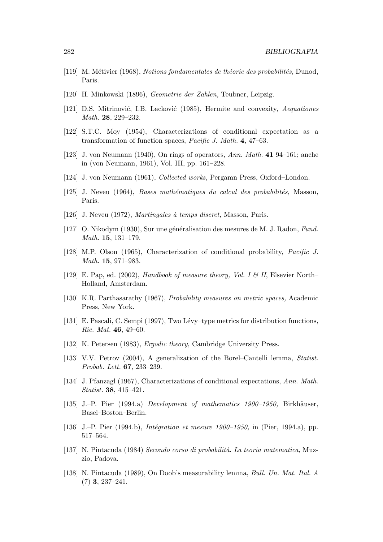- [119] M. Métivier (1968), Notions fondamentales de théorie des probabilités, Dunod, Paris.
- [120] H. Minkowski (1896), Geometrie der Zahlen, Teubner, Leipzig.
- [121] D.S. Mitrinović, I.B. Lacković (1985), Hermite and convexity, Aequationes Math. 28, 229–232.
- [122] S.T.C. Moy (1954), Characterizations of conditional expectation as a transformation of function spaces, Pacific J. Math. 4, 47–63.
- [123] J. von Neumann (1940), On rings of operators, Ann. Math. 41 94–161; anche in (von Neumann, 1961), Vol. III, pp. 161–228.
- [124] J. von Neumann (1961), Collected works, Pergamn Press, Oxford–London.
- $[125]$  J. Neveu (1964), *Bases mathématiques du calcul des probabilités*, Masson, Paris.
- [126] J. Neveu (1972), *Martingales* à temps discret, Masson, Paris.
- [127] O. Nikodym (1930), Sur une généralisation des mesures de M. J. Radon, Fund. Math. 15, 131–179.
- [128] M.P. Olson (1965), Characterization of conditional probability, Pacific J. Math. 15, 971–983.
- [129] E. Pap, ed. (2002), Handbook of measure theory, Vol. I & II, Elsevier North– Holland, Amsterdam.
- [130] K.R. Parthasarathy (1967), Probability measures on metric spaces, Academic Press, New York.
- [131] E. Pascali, C. Sempi (1997), Two Lévy–type metrics for distribution functions, Ric. Mat. 46, 49–60.
- [132] K. Petersen (1983), *Ergodic theory*, Cambridge University Press.
- [133] V.V. Petrov (2004), A generalization of the Borel–Cantelli lemma, Statist. Probab. Lett. 67, 233–239.
- [134] J. Pfanzagl (1967), Characterizations of conditional expectations, Ann. Math. Statist. 38, 415–421.
- [135] J.–P. Pier  $(1994.a)$  Development of mathematics  $1900-1950$ , Birkhäuser, Basel–Boston–Berlin.
- [136] J.–P. Pier  $(1994.b)$ , *Intégration et mesure 1900–1950*, in (Pier, 1994.a), pp. 517–564.
- $[137]$  N. Pintacuda (1984) Secondo corso di probabilità. La teoria matematica, Muzzio, Padova.
- [138] N. Pintacuda (1989), On Doob's measurability lemma, Bull. Un. Mat. Ital. A (7) 3, 237–241.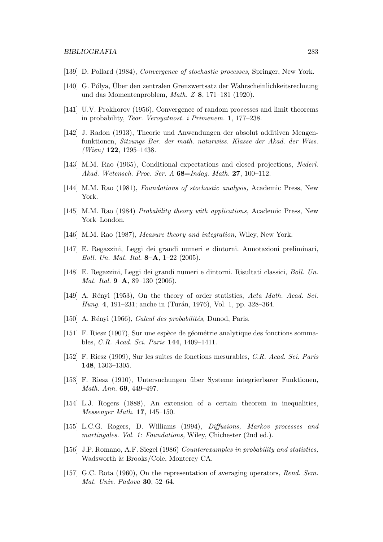- [139] D. Pollard (1984), Convergence of stochastic processes, Springer, New York.
- [140] G. Pólya, Uber den zentralen Grenzwertsatz der Wahrscheinlichkeitsrechnung und das Momentenproblem, Math. Z 8, 171–181 (1920).
- [141] U.V. Prokhorov (1956), Convergence of random processes and limit theorems in probability, Teor. Veroyatnost. i Primenem. 1, 177–238.
- [142] J. Radon (1913), Theorie und Anwendungen der absolut additiven Mengenfunktionen, Sitzungs Ber. der math. naturwiss. Klasse der Akad. der Wiss.  $(Wien)$  122, 1295–1438.
- [143] M.M. Rao (1965), Conditional expectations and closed projections, Nederl. Akad. Wetensch. Proc. Ser. A  $68 = Indag$ . Math. 27, 100-112.
- [144] M.M. Rao (1981), Foundations of stochastic analysis, Academic Press, New York.
- [145] M.M. Rao (1984) Probability theory with applications, Academic Press, New York–London.
- [146] M.M. Rao (1987), Measure theory and integration, Wiley, New York.
- [147] E. Regazzini, Leggi dei grandi numeri e dintorni. Annotazioni preliminari, Boll. Un. Mat. Ital.  $8-A$ ,  $1-22$  (2005).
- [148] E. Regazzini, Leggi dei grandi numeri e dintorni. Risultati classici, Boll. Un. *Mat. Ital.* **9–A**, 89–130  $(2006)$ .
- [149] A. Rényi (1953), On the theory of order statistics, Acta Math. Acad. Sci. Hung. 4, 191–231; anche in (Turán, 1976), Vol. 1, pp. 328–364.
- [150] A. Rényi (1966), Calcul des probabilités, Dunod, Paris.
- [151] F. Riesz  $(1907)$ , Sur une espèce de géométrie analytique des fonctions sommables, C.R. Acad. Sci. Paris 144, 1409–1411.
- [152] F. Riesz (1909), Sur les suites de fonctions mesurables, C.R. Acad. Sci. Paris 148, 1303–1305.
- [153] F. Riesz (1910), Untersuchungen ¨uber Systeme integrierbarer Funktionen, Math. Ann. 69, 449–497.
- [154] L.J. Rogers (1888), An extension of a certain theorem in inequalities, Messenger Math. 17, 145–150.
- [155] L.C.G. Rogers, D. Williams (1994), Diffusions, Markov processes and martingales. Vol. 1: Foundations, Wiley, Chichester (2nd ed.).
- [156] J.P. Romano, A.F. Siegel (1986) Counterexamples in probability and statistics, Wadsworth & Brooks/Cole, Monterey CA.
- [157] G.C. Rota (1960), On the representation of averaging operators, Rend. Sem. Mat. Univ. Padova 30, 52–64.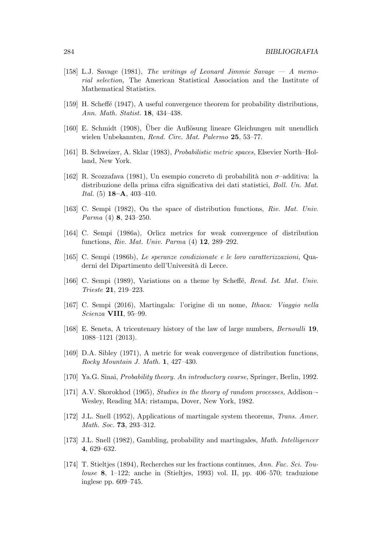- [158] L.J. Savage (1981), The writings of Leonard Jimmie Savage A memorial selection, The American Statistical Association and the Institute of Mathematical Statistics.
- [159] H. Scheffé (1947), A useful convergence theorem for probability distributions, Ann. Math. Statist. 18, 434–438.
- [160] E. Schmidt (1908), Uber die Auflösung lineare Gleichungen mit unendlich wielen Unbekannten, Rend. Circ. Mat. Palermo 25, 53–77.
- [161] B. Schweizer, A. Sklar (1983), Probabilistic metric spaces, Elsevier North–Holland, New York.
- [162] R. Scozzafava (1981), Un esempio concreto di probabilità non  $\sigma$ -additiva: la distribuzione della prima cifra significativa dei dati statistici, Boll. Un. Mat. Ital.  $(5)$  **18–A**, 403–410.
- [163] C. Sempi (1982), On the space of distribution functions, Riv. Mat. Univ. Parma (4) 8, 243–250.
- [164] C. Sempi (1986a), Orlicz metrics for weak convergence of distribution functions, Riv. Mat. Univ. Parma (4) 12, 289–292.
- [165] C. Sempi (1986b), Le speranze condizionate e le loro caratterizzazioni, Quaderni del Dipartimento dell'Università di Lecce.
- [166] C. Sempi (1989), Variations on a theme by Scheffé, Rend. Ist. Mat. Univ. Trieste 21, 219–223.
- [167] C. Sempi (2016), Martingala: l'origine di un nome, Ithaca: Viaggio nella Scienza VIII, 95–99.
- [168] E. Seneta, A tricentenary history of the law of large numbers, Bernoulli 19, 1088–1121 (2013).
- [169] D.A. Sibley (1971), A metric for weak convergence of distribution functions, Rocky Mountain J. Math. 1, 427–430.
- [170] Ya.G. Sinai, Probability theory. An introductory course, Springer, Berlin, 1992.
- [171] A.V. Skorokhod (1965), *Studies in the theory of random processes*, Addison--Wesley, Reading MA; ristampa, Dover, New York, 1982.
- [172] J.L. Snell (1952), Applications of martingale system theorems, Trans. Amer. Math. Soc. 73, 293–312.
- [173] J.L. Snell (1982), Gambling, probability and martingales, Math. Intelligencer 4, 629–632.
- [174] T. Stieltjes (1894), Recherches sur les fractions continues, Ann. Fac. Sci. Toulouse 8, 1–122; anche in (Stieltjes, 1993) vol. II, pp. 406–570; traduzione inglese pp. 609–745.